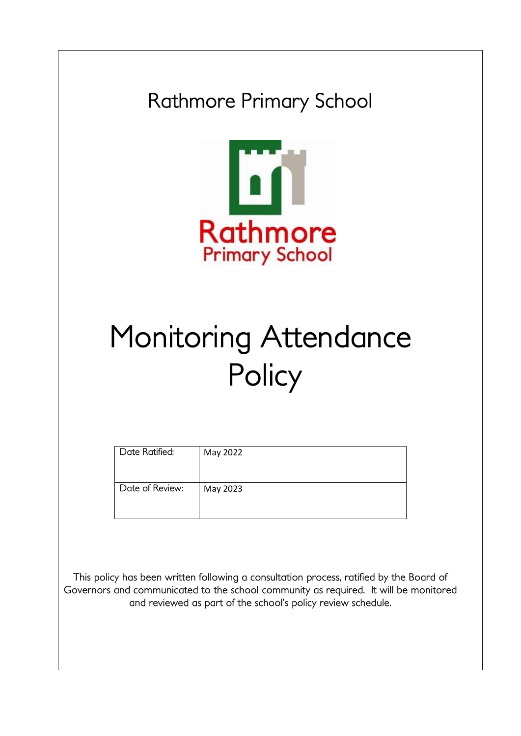Rathmore Primary School



# Monitoring Attendance **Policy**

| Date Ratified:  | May 2022 |
|-----------------|----------|
| Date of Review: | May 2023 |

This policy has been written following a consultation process, ratified by the Board of Governors and communicated to the school community as required. It will be monitored and reviewed as part of the school's policy review schedule.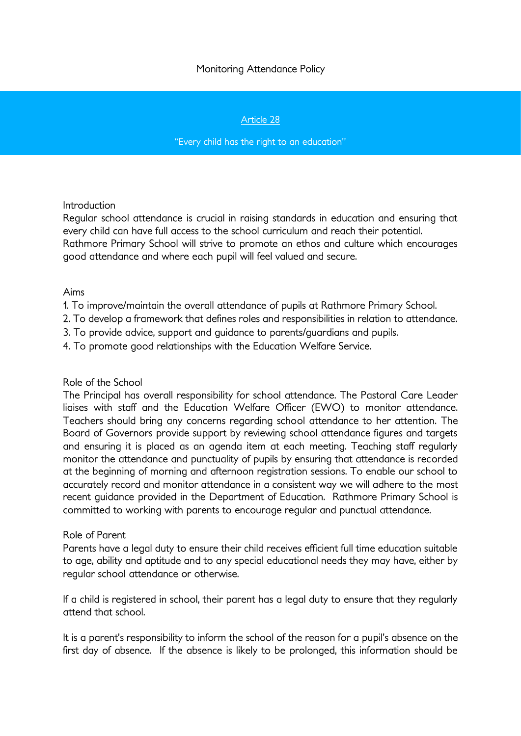# Monitoring Attendance Policy

## Article 28

#### "Every child has the right to an education"

#### **Introduction**

Regular school attendance is crucial in raising standards in education and ensuring that every child can have full access to the school curriculum and reach their potential. Rathmore Primary School will strive to promote an ethos and culture which encourages good attendance and where each pupil will feel valued and secure.

### Aims

- 1. To improve/maintain the overall attendance of pupils at Rathmore Primary School.
- 2. To develop a framework that defines roles and responsibilities in relation to attendance.
- 3. To provide advice, support and guidance to parents/guardians and pupils.
- 4. To promote good relationships with the Education Welfare Service.

#### Role of the School

The Principal has overall responsibility for school attendance. The Pastoral Care Leader liaises with staff and the Education Welfare Officer (EWO) to monitor attendance. Teachers should bring any concerns regarding school attendance to her attention. The Board of Governors provide support by reviewing school attendance figures and targets and ensuring it is placed as an agenda item at each meeting. Teaching staff regularly monitor the attendance and punctuality of pupils by ensuring that attendance is recorded at the beginning of morning and afternoon registration sessions. To enable our school to accurately record and monitor attendance in a consistent way we will adhere to the most recent guidance provided in the Department of Education. Rathmore Primary School is committed to working with parents to encourage regular and punctual attendance.

#### Role of Parent

Parents have a legal duty to ensure their child receives efficient full time education suitable to age, ability and aptitude and to any special educational needs they may have, either by regular school attendance or otherwise.

If a child is registered in school, their parent has a legal duty to ensure that they regularly attend that school.

It is a parent's responsibility to inform the school of the reason for a pupil's absence on the first day of absence. If the absence is likely to be prolonged, this information should be